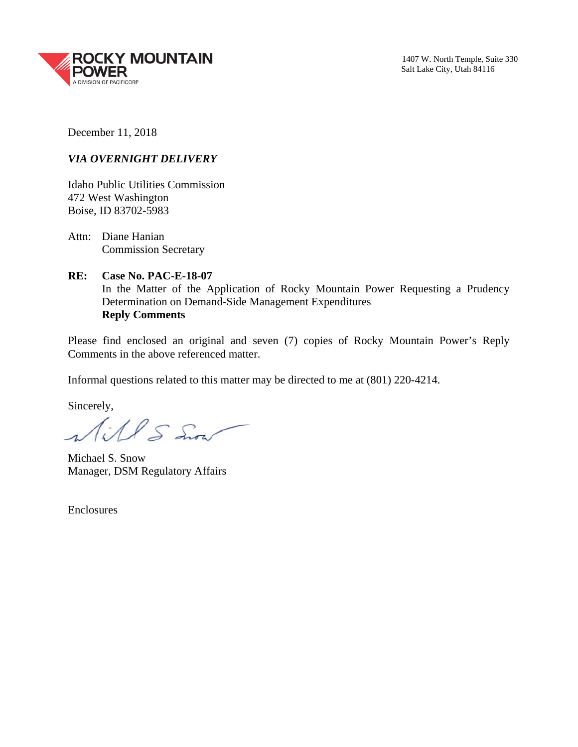

December 11, 2018

## *VIA OVERNIGHT DELIVERY*

Idaho Public Utilities Commission 472 West Washington Boise, ID 83702-5983

Attn: Diane Hanian Commission Secretary

**RE: Case No. PAC-E-18-07**  In the Matter of the Application of Rocky Mountain Power Requesting a Prudency Determination on Demand-Side Management Expenditures **Reply Comments** 

Please find enclosed an original and seven (7) copies of Rocky Mountain Power's Reply Comments in the above referenced matter.

Informal questions related to this matter may be directed to me at (801) 220-4214.

Sincerely,

Will S Sion

Michael S. Snow Manager, DSM Regulatory Affairs

Enclosures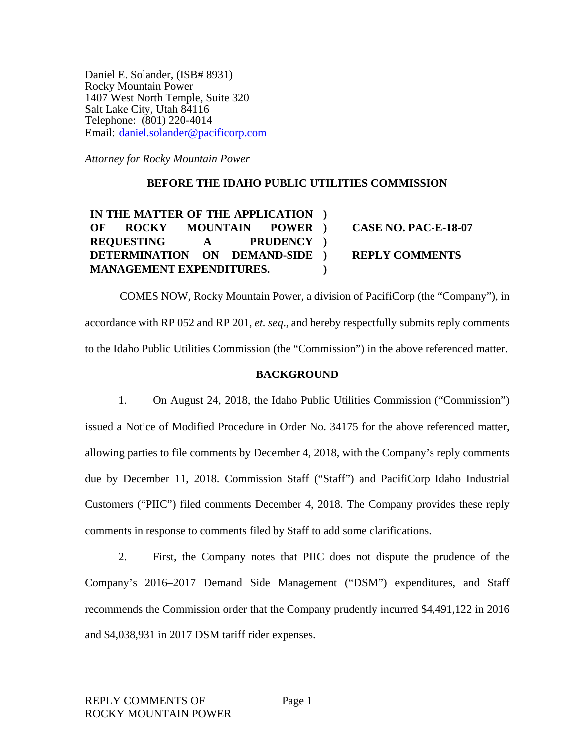Daniel E. Solander, (ISB# 8931) Rocky Mountain Power 1407 West North Temple, Suite 320 Salt Lake City, Utah 84116 Telephone: (801) 220-4014 Email: daniel.solander@pacificorp.com

*Attorney for Rocky Mountain Power* 

### **BEFORE THE IDAHO PUBLIC UTILITIES COMMISSION**

**IN THE MATTER OF THE APPLICATION ) OF ROCKY MOUNTAIN POWER REQUESTING A DETERMINATION ON DEMAND-SIDE MANAGEMENT EXPENDITURES. ) )** 

**) CASE NO. PAC-E-18-07 ) REPLY COMMENTS** 

COMES NOW, Rocky Mountain Power, a division of PacifiCorp (the "Company"), in accordance with RP 052 and RP 201, *et. seq*., and hereby respectfully submits reply comments to the Idaho Public Utilities Commission (the "Commission") in the above referenced matter.

## **BACKGROUND**

1. On August 24, 2018, the Idaho Public Utilities Commission ("Commission") issued a Notice of Modified Procedure in Order No. 34175 for the above referenced matter, allowing parties to file comments by December 4, 2018, with the Company's reply comments due by December 11, 2018. Commission Staff ("Staff") and PacifiCorp Idaho Industrial Customers ("PIIC") filed comments December 4, 2018. The Company provides these reply comments in response to comments filed by Staff to add some clarifications.

2. First, the Company notes that PIIC does not dispute the prudence of the Company's 2016–2017 Demand Side Management ("DSM") expenditures, and Staff recommends the Commission order that the Company prudently incurred \$4,491,122 in 2016 and \$4,038,931 in 2017 DSM tariff rider expenses.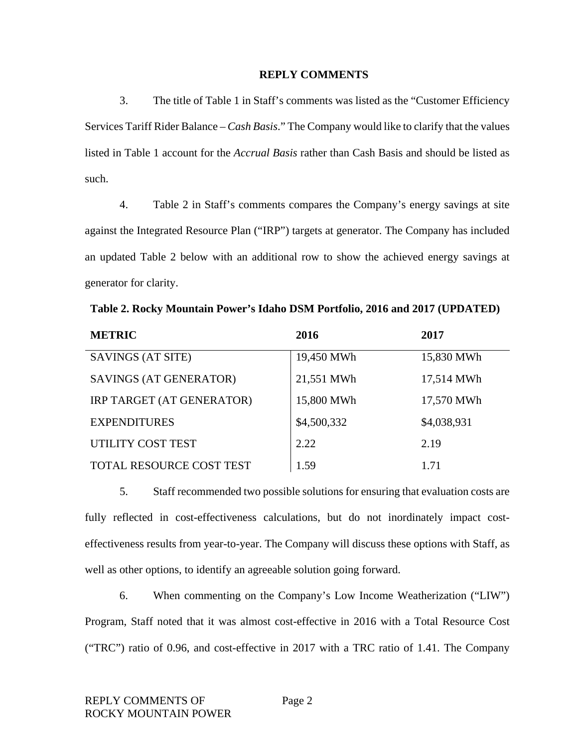#### **REPLY COMMENTS**

3. The title of Table 1 in Staff's comments was listed as the "Customer Efficiency Services Tariff Rider Balance – *Cash Basis*." The Company would like to clarify that the values listed in Table 1 account for the *Accrual Basis* rather than Cash Basis and should be listed as such.

4. Table 2 in Staff's comments compares the Company's energy savings at site against the Integrated Resource Plan ("IRP") targets at generator. The Company has included an updated Table 2 below with an additional row to show the achieved energy savings at generator for clarity.

| <b>METRIC</b>                   | 2016        | 2017        |
|---------------------------------|-------------|-------------|
| SAVINGS (AT SITE)               | 19,450 MWh  | 15,830 MWh  |
| SAVINGS (AT GENERATOR)          | 21,551 MWh  | 17,514 MWh  |
| IRP TARGET (AT GENERATOR)       | 15,800 MWh  | 17,570 MWh  |
| <b>EXPENDITURES</b>             | \$4,500,332 | \$4,038,931 |
| UTILITY COST TEST               | 2.22        | 2.19        |
| <b>TOTAL RESOURCE COST TEST</b> | 1.59        | 1.71        |

**Table 2. Rocky Mountain Power's Idaho DSM Portfolio, 2016 and 2017 (UPDATED)** 

5. Staff recommended two possible solutions for ensuring that evaluation costs are fully reflected in cost-effectiveness calculations, but do not inordinately impact costeffectiveness results from year-to-year. The Company will discuss these options with Staff, as well as other options, to identify an agreeable solution going forward.

6. When commenting on the Company's Low Income Weatherization ("LIW") Program, Staff noted that it was almost cost-effective in 2016 with a Total Resource Cost ("TRC") ratio of 0.96, and cost-effective in 2017 with a TRC ratio of 1.41. The Company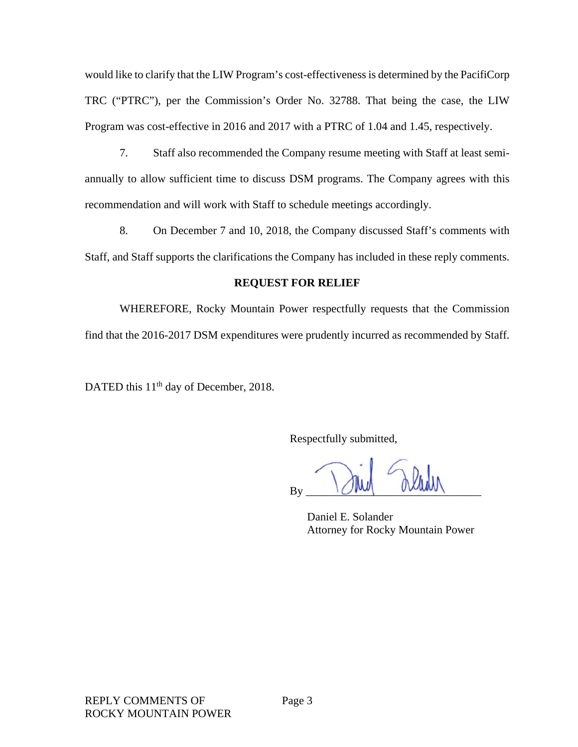would like to clarify that the LIW Program's cost-effectiveness is determined by the PacifiCorp TRC ("PTRC"), per the Commission's Order No. 32788. That being the case, the LIW Program was cost-effective in 2016 and 2017 with a PTRC of 1.04 and 1.45, respectively.

7. Staff also recommended the Company resume meeting with Staff at least semiannually to allow sufficient time to discuss DSM programs. The Company agrees with this recommendation and will work with Staff to schedule meetings accordingly.

8. On December 7 and 10, 2018, the Company discussed Staff's comments with Staff, and Staff supports the clarifications the Company has included in these reply comments.

# **REQUEST FOR RELIEF**

WHEREFORE, Rocky Mountain Power respectfully requests that the Commission find that the 2016-2017 DSM expenditures were prudently incurred as recommended by Staff.

DATED this 11<sup>th</sup> day of December, 2018.

Respectfully submitted,

 $By \sim \text{1}$ 

Daniel E. Solander Attorney for Rocky Mountain Power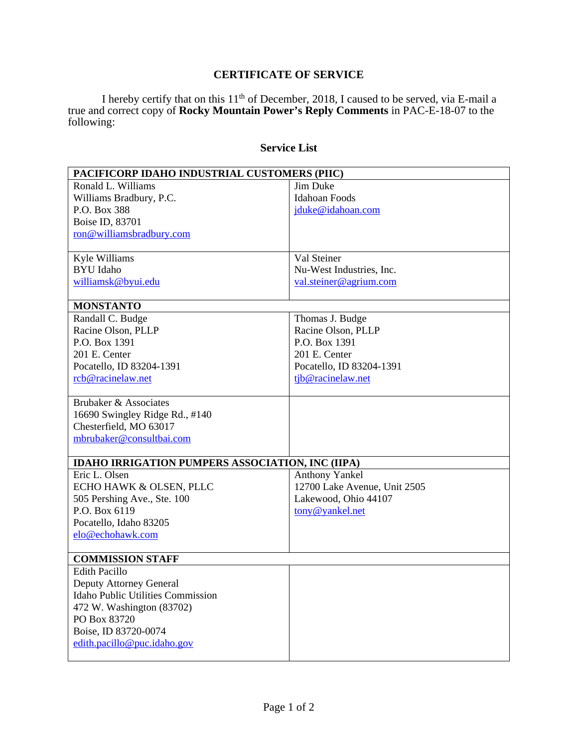# **CERTIFICATE OF SERVICE**

I hereby certify that on this  $11<sup>th</sup>$  of December, 2018, I caused to be served, via E-mail a true and correct copy of **Rocky Mountain Power's Reply Comments** in PAC-E-18-07 to the following:

## **Service List**

| PACIFICORP IDAHO INDUSTRIAL CUSTOMERS (PIIC)            |                              |  |
|---------------------------------------------------------|------------------------------|--|
| Ronald L. Williams                                      | Jim Duke                     |  |
| Williams Bradbury, P.C.                                 | <b>Idahoan Foods</b>         |  |
| P.O. Box 388                                            | jduke@idahoan.com            |  |
| Boise ID, 83701                                         |                              |  |
| ron@williamsbradbury.com                                |                              |  |
|                                                         |                              |  |
| Kyle Williams                                           | Val Steiner                  |  |
| <b>BYU</b> Idaho                                        | Nu-West Industries, Inc.     |  |
| williamsk@byui.edu                                      | val.steiner@agrium.com       |  |
|                                                         |                              |  |
| <b>MONSTANTO</b>                                        |                              |  |
| Randall C. Budge                                        | Thomas J. Budge              |  |
| Racine Olson, PLLP                                      | Racine Olson, PLLP           |  |
| P.O. Box 1391                                           | P.O. Box 1391                |  |
| 201 E. Center                                           | 201 E. Center                |  |
| Pocatello, ID 83204-1391                                | Pocatello, ID 83204-1391     |  |
| rcb@racinelaw.net                                       | tjb@racinelaw.net            |  |
|                                                         |                              |  |
| Brubaker & Associates                                   |                              |  |
| 16690 Swingley Ridge Rd., #140                          |                              |  |
| Chesterfield, MO 63017                                  |                              |  |
| mbrubaker@consultbai.com                                |                              |  |
|                                                         |                              |  |
| <b>IDAHO IRRIGATION PUMPERS ASSOCIATION, INC (IIPA)</b> |                              |  |
| Eric L. Olsen                                           | <b>Anthony Yankel</b>        |  |
| ECHO HAWK & OLSEN, PLLC                                 | 12700 Lake Avenue, Unit 2505 |  |
| 505 Pershing Ave., Ste. 100                             | Lakewood, Ohio 44107         |  |
| P.O. Box 6119                                           | tony@yankel.net              |  |
| Pocatello, Idaho 83205                                  |                              |  |
| elo@echohawk.com                                        |                              |  |
|                                                         |                              |  |
| <b>COMMISSION STAFF</b>                                 |                              |  |
| <b>Edith Pacillo</b>                                    |                              |  |
| Deputy Attorney General                                 |                              |  |
| <b>Idaho Public Utilities Commission</b>                |                              |  |
| 472 W. Washington (83702)                               |                              |  |
| PO Box 83720                                            |                              |  |
| Boise, ID 83720-0074                                    |                              |  |
| edith.pacillo@puc.idaho.gov                             |                              |  |
|                                                         |                              |  |